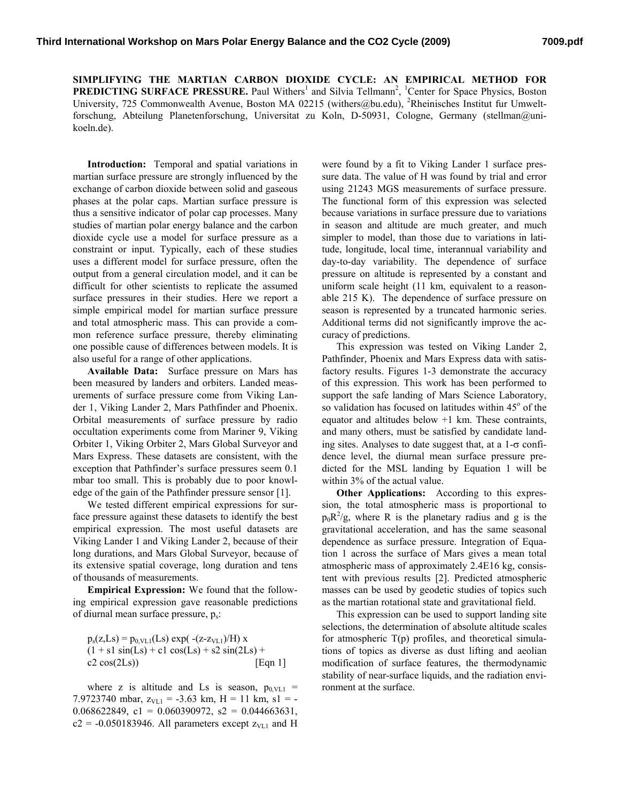**SIMPLIFYING THE MARTIAN CARBON DIOXIDE CYCLE: AN EMPIRICAL METHOD FOR PREDICTING SURFACE PRESSURE.** Paul Withers<sup>1</sup> and Silvia Tellmann<sup>2</sup>, <sup>1</sup>Center for Space Physics, Boston University, 725 Commonwealth Avenue, Boston MA 02215 (withers@bu.edu), <sup>2</sup>Rheinisches Institut fur Umweltforschung, Abteilung Planetenforschung, Universitat zu Koln, D-50931, Cologne, Germany (stellman@unikoeln.de).

**Introduction:** Temporal and spatial variations in martian surface pressure are strongly influenced by the exchange of carbon dioxide between solid and gaseous phases at the polar caps. Martian surface pressure is thus a sensitive indicator of polar cap processes. Many studies of martian polar energy balance and the carbon dioxide cycle use a model for surface pressure as a constraint or input. Typically, each of these studies uses a different model for surface pressure, often the output from a general circulation model, and it can be difficult for other scientists to replicate the assumed surface pressures in their studies. Here we report a simple empirical model for martian surface pressure and total atmospheric mass. This can provide a common reference surface pressure, thereby eliminating one possible cause of differences between models. It is also useful for a range of other applications.

**Available Data:** Surface pressure on Mars has been measured by landers and orbiters. Landed measurements of surface pressure come from Viking Lander 1, Viking Lander 2, Mars Pathfinder and Phoenix. Orbital measurements of surface pressure by radio occultation experiments come from Mariner 9, Viking Orbiter 1, Viking Orbiter 2, Mars Global Surveyor and Mars Express. These datasets are consistent, with the exception that Pathfinder's surface pressures seem 0.1 mbar too small. This is probably due to poor knowledge of the gain of the Pathfinder pressure sensor [1].

We tested different empirical expressions for surface pressure against these datasets to identify the best empirical expression. The most useful datasets are Viking Lander 1 and Viking Lander 2, because of their long durations, and Mars Global Surveyor, because of its extensive spatial coverage, long duration and tens of thousands of measurements.

**Empirical Expression:** We found that the following empirical expression gave reasonable predictions of diurnal mean surface pressure, ps:

 $p_s(z,Ls) = p_{0,\text{VL1}}(Ls) \exp(-(z-z_{\text{VL1}})/H) x$  $(1 + s1 \sin(Ls) + c1 \cos(Ls) + s2 \sin(2Ls) +$  $c2 \cos(2Ls)$  [Eqn 1]

where z is altitude and Ls is season,  $p_{0,\text{VL1}} =$ 7.9723740 mbar,  $z_{VLI}$  = -3.63 km, H = 11 km, s1 = -0.068622849, c1 = 0.060390972, s2 = 0.044663631,  $c2 = -0.050183946$ . All parameters except  $z<sub>VL1</sub>$  and H

were found by a fit to Viking Lander 1 surface pressure data. The value of H was found by trial and error using 21243 MGS measurements of surface pressure. The functional form of this expression was selected because variations in surface pressure due to variations in season and altitude are much greater, and much simpler to model, than those due to variations in latitude, longitude, local time, interannual variability and day-to-day variability. The dependence of surface pressure on altitude is represented by a constant and uniform scale height (11 km, equivalent to a reasonable 215 K). The dependence of surface pressure on season is represented by a truncated harmonic series. Additional terms did not significantly improve the accuracy of predictions.

This expression was tested on Viking Lander 2, Pathfinder, Phoenix and Mars Express data with satisfactory results. Figures 1-3 demonstrate the accuracy of this expression. This work has been performed to support the safe landing of Mars Science Laboratory, so validation has focused on latitudes within 45° of the equator and altitudes below  $+1$  km. These contraints, and many others, must be satisfied by candidate landing sites. Analyses to date suggest that, at a  $1-\sigma$  confidence level, the diurnal mean surface pressure predicted for the MSL landing by Equation 1 will be within 3% of the actual value.

**Other Applications:** According to this expression, the total atmospheric mass is proportional to  $p_0R^2/g$ , where R is the planetary radius and g is the gravitational acceleration, and has the same seasonal dependence as surface pressure. Integration of Equation 1 across the surface of Mars gives a mean total atmospheric mass of approximately 2.4E16 kg, consistent with previous results [2]. Predicted atmospheric masses can be used by geodetic studies of topics such as the martian rotational state and gravitational field.

This expression can be used to support landing site selections, the determination of absolute altitude scales for atmospheric  $T(p)$  profiles, and theoretical simulations of topics as diverse as dust lifting and aeolian modification of surface features, the thermodynamic stability of near-surface liquids, and the radiation environment at the surface.